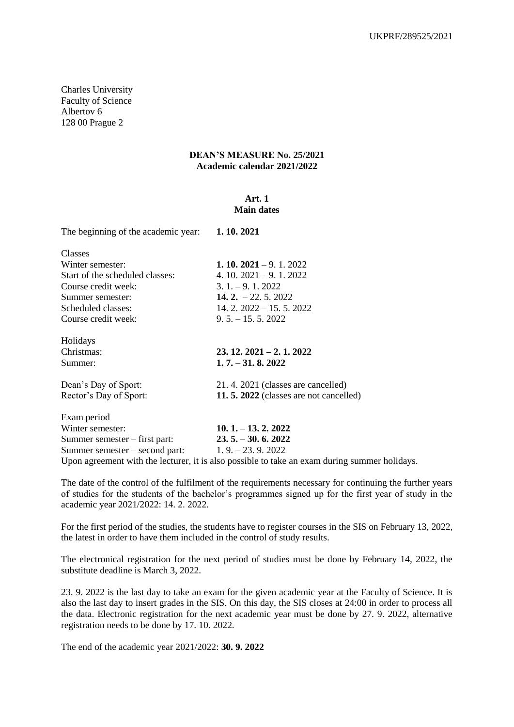Charles University Faculty of Science Albertov 6 128 00 Prague 2

### **DEAN'S MEASURE No. 25/2021 Academic calendar 2021/2022**

#### **Art. 1 Main dates**

| The beginning of the academic year:                | 1.10.2021                                                                                     |
|----------------------------------------------------|-----------------------------------------------------------------------------------------------|
| Classes                                            |                                                                                               |
| Winter semester:                                   | <b>1. 10. 2021</b> – 9. 1. 2022                                                               |
| Start of the scheduled classes:                    | 4. 10. $2021 - 9.1$ . $2022$                                                                  |
| Course credit week:                                | $3.1 - 9.12022$                                                                               |
| Summer semester:                                   | 14. $2. -22. 5. 2022$                                                                         |
| Scheduled classes:                                 | 14. 2. $2022 - 15.5$ . $2022$                                                                 |
| Course credit week:                                | $9.5 - 15.5$ , 2022                                                                           |
| Holidays                                           |                                                                                               |
| Christmas:                                         | $23.12.2021 - 2.1.2022$                                                                       |
| Summer:                                            | $1.7 - 31.8$ , 2022                                                                           |
| Dean's Day of Sport:                               | 21.4.2021 (classes are cancelled)                                                             |
| Rector's Day of Sport:                             | 11.5. 2022 (classes are not cancelled)                                                        |
| Exam period                                        |                                                                                               |
| Winter semester:                                   | $10.1 - 13.2.2022$                                                                            |
| Summer semester – first part:                      | $23.5 - 30.6$ , 2022                                                                          |
| Summer semester – second part: $1.9 - 23.9$ . 2022 |                                                                                               |
|                                                    | Upon agreement with the lecturer, it is also possible to take an exam during summer holidays. |

The date of the control of the fulfilment of the requirements necessary for continuing the further years of studies for the students of the bachelor's programmes signed up for the first year of study in the academic year 2021/2022: 14. 2. 2022.

For the first period of the studies, the students have to register courses in the SIS on February 13, 2022, the latest in order to have them included in the control of study results.

The electronical registration for the next period of studies must be done by February 14, 2022, the substitute deadline is March 3, 2022.

23. 9. 2022 is the last day to take an exam for the given academic year at the Faculty of Science. It is also the last day to insert grades in the SIS. On this day, the SIS closes at 24:00 in order to process all the data. Electronic registration for the next academic year must be done by 27. 9. 2022, alternative registration needs to be done by 17. 10. 2022.

The end of the academic year 2021/2022: **30. 9. 2022**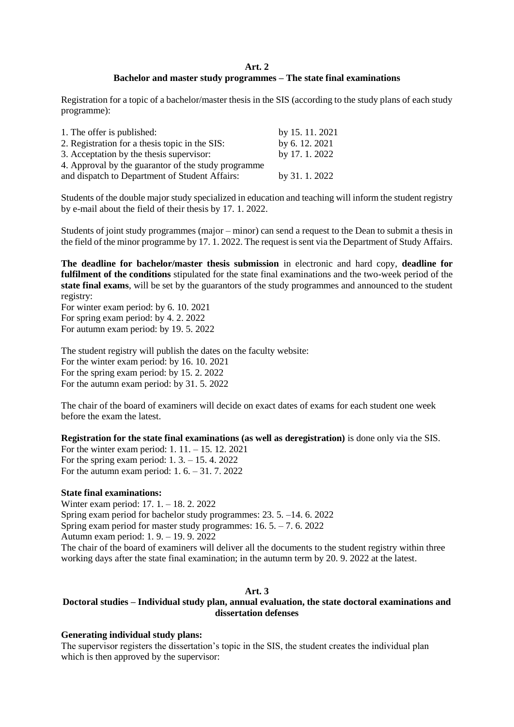## **Art. 2 Bachelor and master study programmes – The state final examinations**

Registration for a topic of a bachelor/master thesis in the SIS (according to the study plans of each study programme):

| 1. The offer is published:                          | by 15.11.2021 |
|-----------------------------------------------------|---------------|
| 2. Registration for a thesis topic in the SIS:      | by 6.12.2021  |
| 3. Acceptation by the thesis supervisor:            | by 17.1.2022  |
| 4. Approval by the guarantor of the study programme |               |
| and dispatch to Department of Student Affairs:      | by 31.1.2022  |

Students of the double major study specialized in education and teaching will inform the student registry by e-mail about the field of their thesis by 17. 1. 2022.

Students of joint study programmes (major – minor) can send a request to the Dean to submit a thesis in the field of the minor programme by 17. 1. 2022. The request is sent via the Department of Study Affairs.

**The deadline for bachelor/master thesis submission** in electronic and hard copy, **deadline for fulfilment of the conditions** stipulated for the state final examinations and the two-week period of the **state final exams**, will be set by the guarantors of the study programmes and announced to the student registry:

For winter exam period: by 6. 10. 2021 For spring exam period: by 4. 2. 2022 For autumn exam period: by 19. 5. 2022

The student registry will publish the dates on the faculty website: For the winter exam period: by 16. 10. 2021 For the spring exam period: by 15. 2. 2022 For the autumn exam period: by 31. 5. 2022

The chair of the board of examiners will decide on exact dates of exams for each student one week before the exam the latest.

**Registration for the state final examinations (as well as deregistration)** is done only via the SIS.

For the winter exam period: 1. 11. – 15. 12. 2021 For the spring exam period: 1. 3. – 15. 4. 2022 For the autumn exam period: 1. 6. – 31. 7. 2022

## **State final examinations:**

Winter exam period: 17. 1. – 18. 2. 2022 Spring exam period for bachelor study programmes: 23. 5. –14. 6. 2022 Spring exam period for master study programmes:  $16.5 - 7.6$ . 2022 Autumn exam period: 1. 9. – 19. 9. 2022 The chair of the board of examiners will deliver all the documents to the student registry within three working days after the state final examination; in the autumn term by 20. 9. 2022 at the latest.

#### **Art. 3**

# **Doctoral studies – Individual study plan, annual evaluation, the state doctoral examinations and dissertation defenses**

#### **Generating individual study plans:**

The supervisor registers the dissertation's topic in the SIS, the student creates the individual plan which is then approved by the supervisor: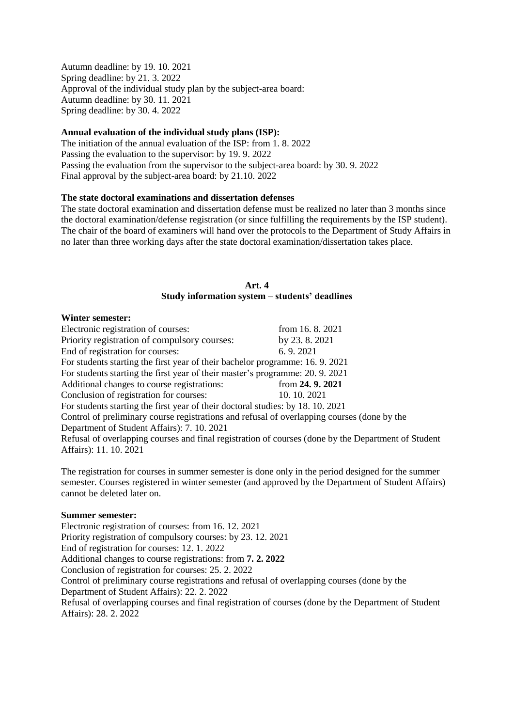Autumn deadline: by 19. 10. 2021 Spring deadline: by 21. 3. 2022 Approval of the individual study plan by the subject-area board: Autumn deadline: by 30. 11. 2021 Spring deadline: by 30. 4. 2022

## **Annual evaluation of the individual study plans (ISP):**

The initiation of the annual evaluation of the ISP: from 1. 8. 2022 Passing the evaluation to the supervisor: by 19. 9. 2022 Passing the evaluation from the supervisor to the subject-area board: by 30. 9. 2022 Final approval by the subject-area board: by 21.10. 2022

# **The state doctoral examinations and dissertation defenses**

The state doctoral examination and dissertation defense must be realized no later than 3 months since the doctoral examination/defense registration (or since fulfilling the requirements by the ISP student). The chair of the board of examiners will hand over the protocols to the Department of Study Affairs in no later than three working days after the state doctoral examination/dissertation takes place.

### **Art. 4 Study information system – students' deadlines**

#### **Winter semester:**

Electronic registration of courses: from 16.8.2021 Priority registration of compulsory courses: by 23. 8. 2021 End of registration for courses: 6. 9. 2021 For students starting the first year of their bachelor programme: 16. 9. 2021 For students starting the first year of their master's programme: 20. 9. 2021 Additional changes to course registrations: from 24. 9. 2021 Conclusion of registration for courses: 10. 10. 2021 For students starting the first year of their doctoral studies: by 18. 10. 2021 Control of preliminary course registrations and refusal of overlapping courses (done by the Department of Student Affairs): 7. 10. 2021 Refusal of overlapping courses and final registration of courses (done by the Department of Student Affairs): 11. 10. 2021

The registration for courses in summer semester is done only in the period designed for the summer semester. Courses registered in winter semester (and approved by the Department of Student Affairs) cannot be deleted later on.

#### **Summer semester:**

Electronic registration of courses: from 16. 12. 2021 Priority registration of compulsory courses: by 23. 12. 2021 End of registration for courses: 12. 1. 2022 Additional changes to course registrations: from **7. 2. 2022**  Conclusion of registration for courses: 25. 2. 2022 Control of preliminary course registrations and refusal of overlapping courses (done by the Department of Student Affairs): 22. 2. 2022 Refusal of overlapping courses and final registration of courses (done by the Department of Student Affairs): 28. 2. 2022